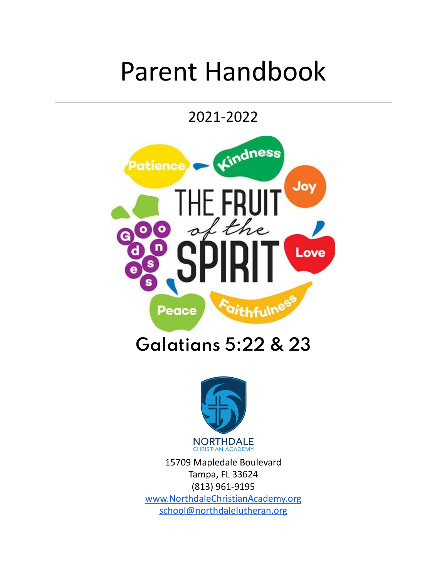# Parent Handbook

2021-2022





15709 Mapledale Boulevard Tampa, FL 33624 (813) 961-9195 [www.NorthdaleChristianAcademy.org](http://www.northdalechristianacademy.org) [school@northdalelutheran.org](mailto:school@northdalelutheran.org)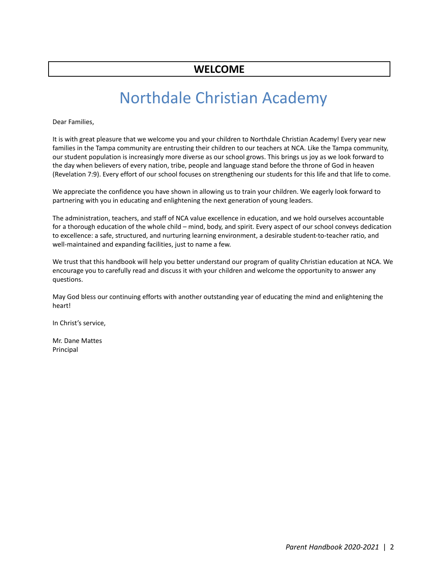## Northdale Christian Academy

Dear Families,

It is with great pleasure that we welcome you and your children to Northdale Christian Academy! Every year new families in the Tampa community are entrusting their children to our teachers at NCA. Like the Tampa community, our student population is increasingly more diverse as our school grows. This brings us joy as we look forward to the day when believers of every nation, tribe, people and language stand before the throne of God in heaven (Revelation 7:9). Every effort of our school focuses on strengthening our students for this life and that life to come.

We appreciate the confidence you have shown in allowing us to train your children. We eagerly look forward to partnering with you in educating and enlightening the next generation of young leaders.

The administration, teachers, and staff of NCA value excellence in education, and we hold ourselves accountable for a thorough education of the whole child – mind, body, and spirit. Every aspect of our school conveys dedication to excellence: a safe, structured, and nurturing learning environment, a desirable student-to-teacher ratio, and well-maintained and expanding facilities, just to name a few.

We trust that this handbook will help you better understand our program of quality Christian education at NCA. We encourage you to carefully read and discuss it with your children and welcome the opportunity to answer any questions.

May God bless our continuing efforts with another outstanding year of educating the mind and enlightening the heart!

In Christ's service,

Mr. Dane Mattes Principal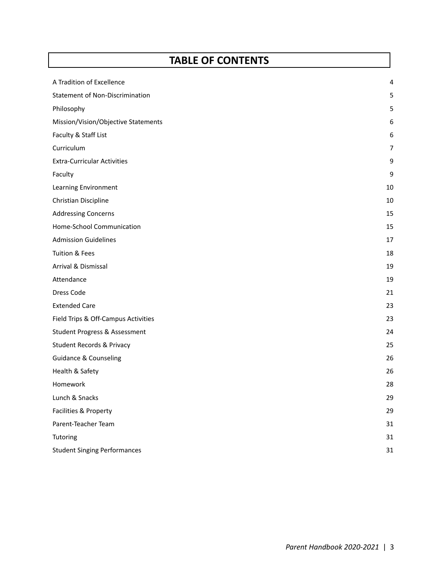### **TABLE OF CONTENTS**

| A Tradition of Excellence                | 4  |
|------------------------------------------|----|
| <b>Statement of Non-Discrimination</b>   | 5  |
| Philosophy                               | 5  |
| Mission/Vision/Objective Statements      | 6  |
| Faculty & Staff List                     | 6  |
| Curriculum                               | 7  |
| <b>Extra-Curricular Activities</b>       | 9  |
| Faculty                                  | 9  |
| Learning Environment                     | 10 |
| Christian Discipline                     | 10 |
| <b>Addressing Concerns</b>               | 15 |
| Home-School Communication                | 15 |
| <b>Admission Guidelines</b>              | 17 |
| Tuition & Fees                           | 18 |
| <b>Arrival &amp; Dismissal</b>           | 19 |
| Attendance                               | 19 |
| Dress Code                               | 21 |
| <b>Extended Care</b>                     | 23 |
| Field Trips & Off-Campus Activities      | 23 |
| <b>Student Progress &amp; Assessment</b> | 24 |
| <b>Student Records &amp; Privacy</b>     | 25 |
| <b>Guidance &amp; Counseling</b>         | 26 |
| Health & Safety                          | 26 |
| Homework                                 | 28 |
| Lunch & Snacks                           | 29 |
| Facilities & Property                    | 29 |
| Parent-Teacher Team                      | 31 |
| Tutoring                                 | 31 |
| <b>Student Singing Performances</b>      | 31 |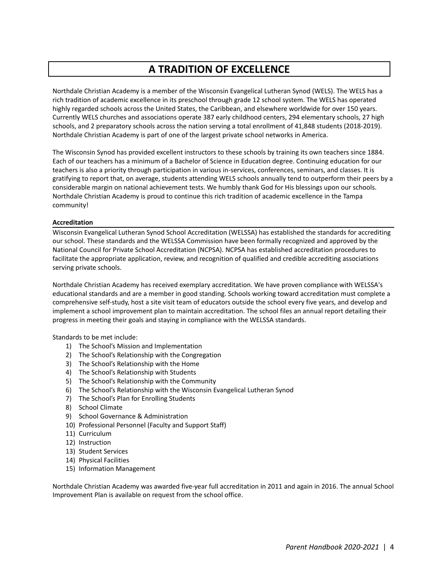### **A TRADITION OF EXCELLENCE**

Northdale Christian Academy is a member of the Wisconsin Evangelical Lutheran Synod (WELS). The WELS has a rich tradition of academic excellence in its preschool through grade 12 school system. The WELS has operated highly regarded schools across the United States, the Caribbean, and elsewhere worldwide for over 150 years. Currently WELS churches and associations operate 387 early childhood centers, 294 elementary schools, 27 high schools, and 2 preparatory schools across the nation serving a total enrollment of 41,848 students (2018-2019). Northdale Christian Academy is part of one of the largest private school networks in America.

The Wisconsin Synod has provided excellent instructors to these schools by training its own teachers since 1884. Each of our teachers has a minimum of a Bachelor of Science in Education degree. Continuing education for our teachers is also a priority through participation in various in-services, conferences, seminars, and classes. It is gratifying to report that, on average, students attending WELS schools annually tend to outperform their peers by a considerable margin on national achievement tests. We humbly thank God for His blessings upon our schools. Northdale Christian Academy is proud to continue this rich tradition of academic excellence in the Tampa community!

#### **Accreditation**

Wisconsin Evangelical Lutheran Synod School Accreditation (WELSSA) has established the standards for accrediting our school. These standards and the WELSSA Commission have been formally recognized and approved by the National Council for Private School Accreditation (NCPSA). NCPSA has established accreditation procedures to facilitate the appropriate application, review, and recognition of qualified and credible accrediting associations serving private schools.

Northdale Christian Academy has received exemplary accreditation. We have proven compliance with WELSSA's educational standards and are a member in good standing. Schools working toward accreditation must complete a comprehensive self-study, host a site visit team of educators outside the school every five years, and develop and implement a school improvement plan to maintain accreditation. The school files an annual report detailing their progress in meeting their goals and staying in compliance with the WELSSA standards.

Standards to be met include:

- 1) The School's Mission and Implementation
- 2) The School's Relationship with the Congregation
- 3) The School's Relationship with the Home
- 4) The School's Relationship with Students
- 5) The School's Relationship with the Community
- 6) The School's Relationship with the Wisconsin Evangelical Lutheran Synod
- 7) The School's Plan for Enrolling Students
- 8) School Climate
- 9) School Governance & Administration
- 10) Professional Personnel (Faculty and Support Staff)
- 11) Curriculum
- 12) Instruction
- 13) Student Services
- 14) Physical Facilities
- 15) Information Management

Northdale Christian Academy was awarded five-year full accreditation in 2011 and again in 2016. The annual School Improvement Plan is available on request from the school office.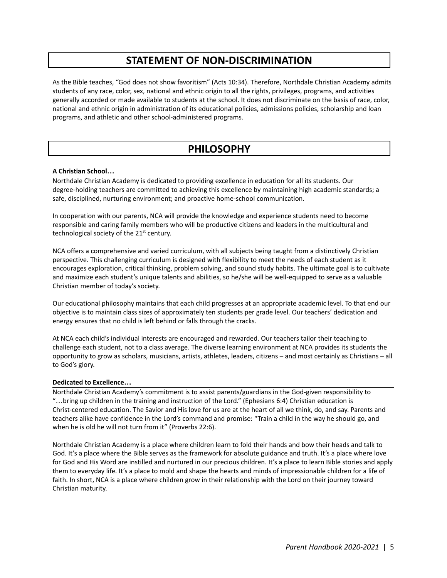### **STATEMENT OF NON-DISCRIMINATION**

As the Bible teaches, "God does not show favoritism" (Acts 10:34). Therefore, Northdale Christian Academy admits students of any race, color, sex, national and ethnic origin to all the rights, privileges, programs, and activities generally accorded or made available to students at the school. It does not discriminate on the basis of race, color, national and ethnic origin in administration of its educational policies, admissions policies, scholarship and loan programs, and athletic and other school-administered programs.

### **PHILOSOPHY**

#### **A Christian School…**

Northdale Christian Academy is dedicated to providing excellence in education for all its students. Our degree-holding teachers are committed to achieving this excellence by maintaining high academic standards; a safe, disciplined, nurturing environment; and proactive home-school communication.

In cooperation with our parents, NCA will provide the knowledge and experience students need to become responsible and caring family members who will be productive citizens and leaders in the multicultural and technological society of the 21<sup>st</sup> century.

NCA offers a comprehensive and varied curriculum, with all subjects being taught from a distinctively Christian perspective. This challenging curriculum is designed with flexibility to meet the needs of each student as it encourages exploration, critical thinking, problem solving, and sound study habits. The ultimate goal is to cultivate and maximize each student's unique talents and abilities, so he/she will be well-equipped to serve as a valuable Christian member of today's society.

Our educational philosophy maintains that each child progresses at an appropriate academic level. To that end our objective is to maintain class sizes of approximately ten students per grade level. Our teachers' dedication and energy ensures that no child is left behind or falls through the cracks.

At NCA each child's individual interests are encouraged and rewarded. Our teachers tailor their teaching to challenge each student, not to a class average. The diverse learning environment at NCA provides its students the opportunity to grow as scholars, musicians, artists, athletes, leaders, citizens – and most certainly as Christians – all to God's glory.

#### **Dedicated to Excellence…**

Northdale Christian Academy's commitment is to assist parents/guardians in the God-given responsibility to "…bring up children in the training and instruction of the Lord." (Ephesians 6:4) Christian education is Christ-centered education. The Savior and His love for us are at the heart of all we think, do, and say. Parents and teachers alike have confidence in the Lord's command and promise: "Train a child in the way he should go, and when he is old he will not turn from it" (Proverbs 22:6).

Northdale Christian Academy is a place where children learn to fold their hands and bow their heads and talk to God. It's a place where the Bible serves as the framework for absolute guidance and truth. It's a place where love for God and His Word are instilled and nurtured in our precious children. It's a place to learn Bible stories and apply them to everyday life. It's a place to mold and shape the hearts and minds of impressionable children for a life of faith. In short, NCA is a place where children grow in their relationship with the Lord on their journey toward Christian maturity.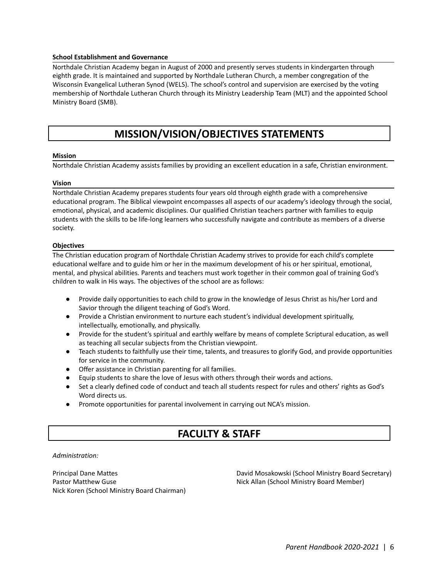#### **School Establishment and Governance**

Northdale Christian Academy began in August of 2000 and presently serves students in kindergarten through eighth grade. It is maintained and supported by Northdale Lutheran Church, a member congregation of the Wisconsin Evangelical Lutheran Synod (WELS). The school's control and supervision are exercised by the voting membership of Northdale Lutheran Church through its Ministry Leadership Team (MLT) and the appointed School Ministry Board (SMB).

### **MISSION/VISION/OBJECTIVES STATEMENTS**

#### **Mission**

Northdale Christian Academy assists families by providing an excellent education in a safe, Christian environment.

#### **Vision**

Northdale Christian Academy prepares students four years old through eighth grade with a comprehensive educational program. The Biblical viewpoint encompasses all aspects of our academy's ideology through the social, emotional, physical, and academic disciplines. Our qualified Christian teachers partner with families to equip students with the skills to be life-long learners who successfully navigate and contribute as members of a diverse society.

#### **Objectives**

The Christian education program of Northdale Christian Academy strives to provide for each child's complete educational welfare and to guide him or her in the maximum development of his or her spiritual, emotional, mental, and physical abilities. Parents and teachers must work together in their common goal of training God's children to walk in His ways. The objectives of the school are as follows:

- Provide daily opportunities to each child to grow in the knowledge of Jesus Christ as his/her Lord and Savior through the diligent teaching of God's Word.
- Provide a Christian environment to nurture each student's individual development spiritually, intellectually, emotionally, and physically.
- Provide for the student's spiritual and earthly welfare by means of complete Scriptural education, as well as teaching all secular subjects from the Christian viewpoint.
- Teach students to faithfully use their time, talents, and treasures to glorify God, and provide opportunities for service in the community.
- Offer assistance in Christian parenting for all families.
- Equip students to share the love of Jesus with others through their words and actions.
- Set a clearly defined code of conduct and teach all students respect for rules and others' rights as God's Word directs us.
- Promote opportunities for parental involvement in carrying out NCA's mission.

### **FACULTY & STAFF**

*Administration:*

Principal Dane Mattes Pastor Matthew Guse Nick Koren (School Ministry Board Chairman) David Mosakowski (School Ministry Board Secretary) Nick Allan (School Ministry Board Member)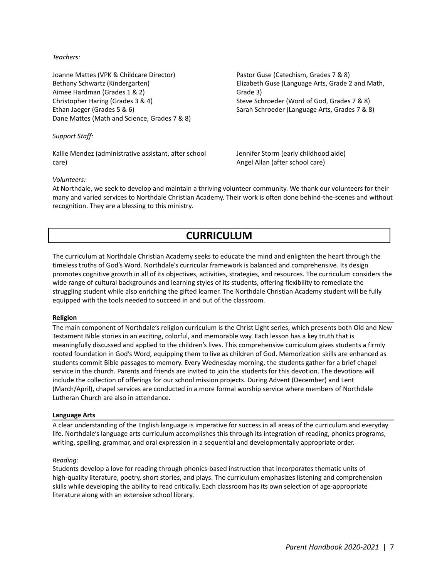*Teachers:*

Joanne Mattes (VPK & Childcare Director) Bethany Schwartz (Kindergarten) Aimee Hardman (Grades 1 & 2) Christopher Haring (Grades 3 & 4) Ethan Jaeger (Grades 5 & 6) Dane Mattes (Math and Science, Grades 7 & 8)

*Support Staff:*

Kallie Mendez (administrative assistant, after school care)

Pastor Guse (Catechism, Grades 7 & 8) Elizabeth Guse (Language Arts, Grade 2 and Math, Grade 3) Steve Schroeder (Word of God, Grades 7 & 8) Sarah Schroeder (Language Arts, Grades 7 & 8)

Jennifer Storm (early childhood aide) Angel Allan (after school care)

#### *Volunteers:*

At Northdale, we seek to develop and maintain a thriving volunteer community. We thank our volunteers for their many and varied services to Northdale Christian Academy. Their work is often done behind-the-scenes and without recognition. They are a blessing to this ministry.

### **CURRICULUM**

The curriculum at Northdale Christian Academy seeks to educate the mind and enlighten the heart through the timeless truths of God's Word. Northdale's curricular framework is balanced and comprehensive. Its design promotes cognitive growth in all of its objectives, activities, strategies, and resources. The curriculum considers the wide range of cultural backgrounds and learning styles of its students, offering flexibility to remediate the struggling student while also enriching the gifted learner. The Northdale Christian Academy student will be fully equipped with the tools needed to succeed in and out of the classroom.

#### **Religion**

The main component of Northdale's religion curriculum is the Christ Light series, which presents both Old and New Testament Bible stories in an exciting, colorful, and memorable way. Each lesson has a key truth that is meaningfully discussed and applied to the children's lives. This comprehensive curriculum gives students a firmly rooted foundation in God's Word, equipping them to live as children of God. Memorization skills are enhanced as students commit Bible passages to memory. Every Wednesday morning, the students gather for a brief chapel service in the church. Parents and friends are invited to join the students for this devotion. The devotions will include the collection of offerings for our school mission projects. During Advent (December) and Lent (March/April), chapel services are conducted in a more formal worship service where members of Northdale Lutheran Church are also in attendance.

#### **Language Arts**

A clear understanding of the English language is imperative for success in all areas of the curriculum and everyday life. Northdale's language arts curriculum accomplishes this through its integration of reading, phonics programs, writing, spelling, grammar, and oral expression in a sequential and developmentally appropriate order.

#### *Reading:*

Students develop a love for reading through phonics-based instruction that incorporates thematic units of high-quality literature, poetry, short stories, and plays. The curriculum emphasizes listening and comprehension skills while developing the ability to read critically. Each classroom has its own selection of age-appropriate literature along with an extensive school library.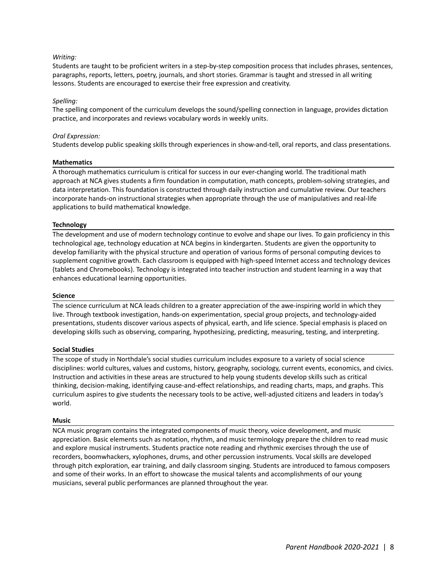#### *Writing:*

Students are taught to be proficient writers in a step-by-step composition process that includes phrases, sentences, paragraphs, reports, letters, poetry, journals, and short stories. Grammar is taught and stressed in all writing lessons. Students are encouraged to exercise their free expression and creativity.

#### *Spelling:*

The spelling component of the curriculum develops the sound/spelling connection in language, provides dictation practice, and incorporates and reviews vocabulary words in weekly units.

#### *Oral Expression:*

Students develop public speaking skills through experiences in show-and-tell, oral reports, and class presentations.

#### **Mathematics**

A thorough mathematics curriculum is critical for success in our ever-changing world. The traditional math approach at NCA gives students a firm foundation in computation, math concepts, problem-solving strategies, and data interpretation. This foundation is constructed through daily instruction and cumulative review. Our teachers incorporate hands-on instructional strategies when appropriate through the use of manipulatives and real-life applications to build mathematical knowledge.

#### **Technology**

The development and use of modern technology continue to evolve and shape our lives. To gain proficiency in this technological age, technology education at NCA begins in kindergarten. Students are given the opportunity to develop familiarity with the physical structure and operation of various forms of personal computing devices to supplement cognitive growth. Each classroom is equipped with high-speed Internet access and technology devices (tablets and Chromebooks). Technology is integrated into teacher instruction and student learning in a way that enhances educational learning opportunities.

#### **Science**

The science curriculum at NCA leads children to a greater appreciation of the awe-inspiring world in which they live. Through textbook investigation, hands-on experimentation, special group projects, and technology-aided presentations, students discover various aspects of physical, earth, and life science. Special emphasis is placed on developing skills such as observing, comparing, hypothesizing, predicting, measuring, testing, and interpreting.

#### **Social Studies**

The scope of study in Northdale's social studies curriculum includes exposure to a variety of social science disciplines: world cultures, values and customs, history, geography, sociology, current events, economics, and civics. Instruction and activities in these areas are structured to help young students develop skills such as critical thinking, decision-making, identifying cause-and-effect relationships, and reading charts, maps, and graphs. This curriculum aspires to give students the necessary tools to be active, well-adjusted citizens and leaders in today's world.

#### **Music**

NCA music program contains the integrated components of music theory, voice development, and music appreciation. Basic elements such as notation, rhythm, and music terminology prepare the children to read music and explore musical instruments. Students practice note reading and rhythmic exercises through the use of recorders, boomwhackers, xylophones, drums, and other percussion instruments. Vocal skills are developed through pitch exploration, ear training, and daily classroom singing. Students are introduced to famous composers and some of their works. In an effort to showcase the musical talents and accomplishments of our young musicians, several public performances are planned throughout the year.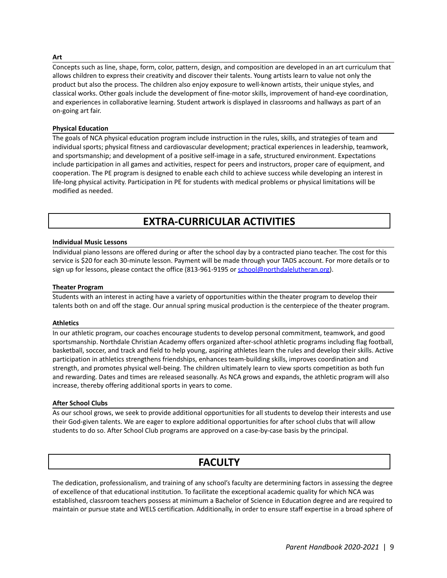#### **Art**

Concepts such as line, shape, form, color, pattern, design, and composition are developed in an art curriculum that allows children to express their creativity and discover their talents. Young artists learn to value not only the product but also the process. The children also enjoy exposure to well-known artists, their unique styles, and classical works. Other goals include the development of fine-motor skills, improvement of hand-eye coordination, and experiences in collaborative learning. Student artwork is displayed in classrooms and hallways as part of an on-going art fair.

#### **Physical Education**

The goals of NCA physical education program include instruction in the rules, skills, and strategies of team and individual sports; physical fitness and cardiovascular development; practical experiences in leadership, teamwork, and sportsmanship; and development of a positive self-image in a safe, structured environment. Expectations include participation in all games and activities, respect for peers and instructors, proper care of equipment, and cooperation. The PE program is designed to enable each child to achieve success while developing an interest in life-long physical activity. Participation in PE for students with medical problems or physical limitations will be modified as needed.

### **EXTRA-CURRICULAR ACTIVITIES**

#### **Individual Music Lessons**

Individual piano lessons are offered during or after the school day by a contracted piano teacher. The cost for this service is \$20 for each 30-minute lesson. Payment will be made through your TADS account. For more details or to sign up for lessons, please contact the office (813-961-9195 or [school@northdalelutheran.org\)](mailto:school@northdalelutheran.org).

#### **Theater Program**

Students with an interest in acting have a variety of opportunities within the theater program to develop their talents both on and off the stage. Our annual spring musical production is the centerpiece of the theater program.

#### **Athletics**

In our athletic program, our coaches encourage students to develop personal commitment, teamwork, and good sportsmanship. Northdale Christian Academy offers organized after-school athletic programs including flag football, basketball, soccer, and track and field to help young, aspiring athletes learn the rules and develop their skills. Active participation in athletics strengthens friendships, enhances team-building skills, improves coordination and strength, and promotes physical well-being. The children ultimately learn to view sports competition as both fun and rewarding. Dates and times are released seasonally. As NCA grows and expands, the athletic program will also increase, thereby offering additional sports in years to come.

#### **After School Clubs**

As our school grows, we seek to provide additional opportunities for all students to develop their interests and use their God-given talents. We are eager to explore additional opportunities for after school clubs that will allow students to do so. After School Club programs are approved on a case-by-case basis by the principal.

### **FACULTY**

The dedication, professionalism, and training of any school's faculty are determining factors in assessing the degree of excellence of that educational institution. To facilitate the exceptional academic quality for which NCA was established, classroom teachers possess at minimum a Bachelor of Science in Education degree and are required to maintain or pursue state and WELS certification. Additionally, in order to ensure staff expertise in a broad sphere of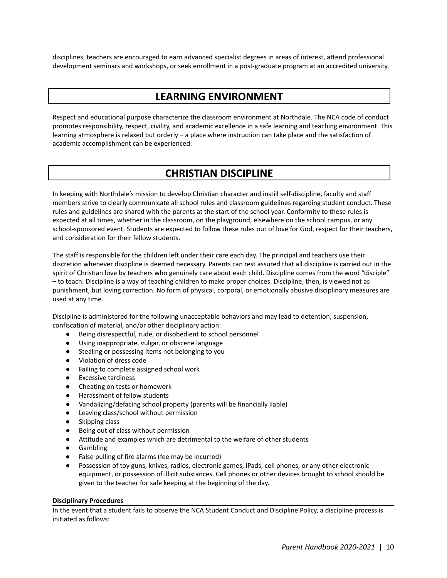disciplines, teachers are encouraged to earn advanced specialist degrees in areas of interest, attend professional development seminars and workshops, or seek enrollment in a post-graduate program at an accredited university.

### **LEARNING ENVIRONMENT**

Respect and educational purpose characterize the classroom environment at Northdale. The NCA code of conduct promotes responsibility, respect, civility, and academic excellence in a safe learning and teaching environment. This learning atmosphere is relaxed but orderly – a place where instruction can take place and the satisfaction of academic accomplishment can be experienced.

### **CHRISTIAN DISCIPLINE**

In keeping with Northdale's mission to develop Christian character and instill self-discipline, faculty and staff members strive to clearly communicate all school rules and classroom guidelines regarding student conduct. These rules and guidelines are shared with the parents at the start of the school year. Conformity to these rules is expected at all times, whether in the classroom, on the playground, elsewhere on the school campus, or any school-sponsored event. Students are expected to follow these rules out of love for God, respect for their teachers, and consideration for their fellow students.

The staff is responsible for the children left under their care each day. The principal and teachers use their discretion whenever discipline is deemed necessary. Parents can rest assured that all discipline is carried out in the spirit of Christian love by teachers who genuinely care about each child. Discipline comes from the word "disciple" – to teach. Discipline is a way of teaching children to make proper choices. Discipline, then, is viewed not as punishment, but loving correction. No form of physical, corporal, or emotionally abusive disciplinary measures are used at any time.

Discipline is administered for the following unacceptable behaviors and may lead to detention, suspension, confiscation of material, and/or other disciplinary action:

- Being disrespectful, rude, or disobedient to school personnel
- Using inappropriate, vulgar, or obscene language
- Stealing or possessing items not belonging to you
- Violation of dress code
- Failing to complete assigned school work
- Excessive tardiness
- Cheating on tests or homework
- Harassment of fellow students
- Vandalizing/defacing school property (parents will be financially liable)
- Leaving class/school without permission
- Skipping class
- Being out of class without permission
- Attitude and examples which are detrimental to the welfare of other students
- Gambling
- False pulling of fire alarms (fee may be incurred)
- Possession of toy guns, knives, radios, electronic games, iPads, cell phones, or any other electronic equipment, or possession of illicit substances. Cell phones or other devices brought to school should be given to the teacher for safe keeping at the beginning of the day.

#### **Disciplinary Procedures**

In the event that a student fails to observe the NCA Student Conduct and Discipline Policy, a discipline process is initiated as follows: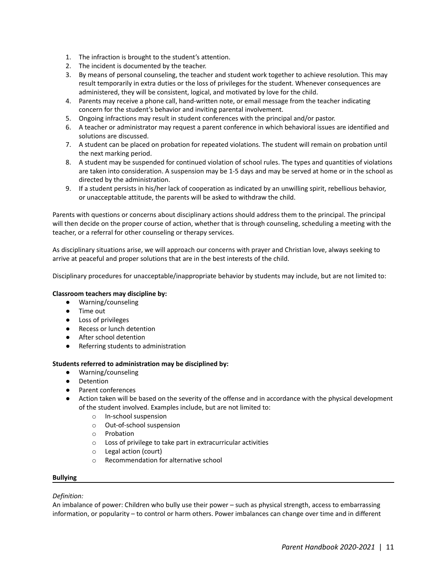- 1. The infraction is brought to the student's attention.
- 2. The incident is documented by the teacher.
- 3. By means of personal counseling, the teacher and student work together to achieve resolution. This may result temporarily in extra duties or the loss of privileges for the student. Whenever consequences are administered, they will be consistent, logical, and motivated by love for the child.
- 4. Parents may receive a phone call, hand-written note, or email message from the teacher indicating concern for the student's behavior and inviting parental involvement.
- 5. Ongoing infractions may result in student conferences with the principal and/or pastor.
- 6. A teacher or administrator may request a parent conference in which behavioral issues are identified and solutions are discussed.
- 7. A student can be placed on probation for repeated violations. The student will remain on probation until the next marking period.
- 8. A student may be suspended for continued violation of school rules. The types and quantities of violations are taken into consideration. A suspension may be 1-5 days and may be served at home or in the school as directed by the administration.
- 9. If a student persists in his/her lack of cooperation as indicated by an unwilling spirit, rebellious behavior, or unacceptable attitude, the parents will be asked to withdraw the child.

Parents with questions or concerns about disciplinary actions should address them to the principal. The principal will then decide on the proper course of action, whether that is through counseling, scheduling a meeting with the teacher, or a referral for other counseling or therapy services.

As disciplinary situations arise, we will approach our concerns with prayer and Christian love, always seeking to arrive at peaceful and proper solutions that are in the best interests of the child.

Disciplinary procedures for unacceptable/inappropriate behavior by students may include, but are not limited to:

#### **Classroom teachers may discipline by:**

- Warning/counseling
- Time out
- Loss of privileges
- Recess or lunch detention
- After school detention
- Referring students to administration

#### **Students referred to administration may be disciplined by:**

- Warning/counseling
- Detention
- Parent conferences
- Action taken will be based on the severity of the offense and in accordance with the physical development of the student involved. Examples include, but are not limited to:
	- o In-school suspension
	- o Out-of-school suspension
	- o Probation
	- o Loss of privilege to take part in extracurricular activities
	- o Legal action (court)
	- o Recommendation for alternative school

#### **Bullying**

#### *Definition:*

An imbalance of power: Children who bully use their power – such as physical strength, access to embarrassing information, or popularity – to control or harm others. Power imbalances can change over time and in different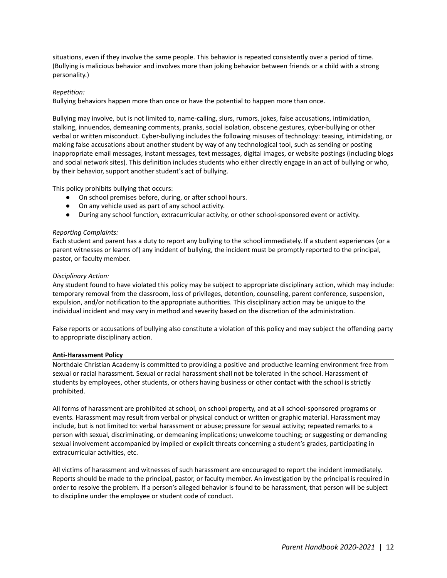situations, even if they involve the same people. This behavior is repeated consistently over a period of time. (Bullying is malicious behavior and involves more than joking behavior between friends or a child with a strong personality.)

#### *Repetition:*

Bullying behaviors happen more than once or have the potential to happen more than once.

Bullying may involve, but is not limited to, name-calling, slurs, rumors, jokes, false accusations, intimidation, stalking, innuendos, demeaning comments, pranks, social isolation, obscene gestures, cyber-bullying or other verbal or written misconduct. Cyber-bullying includes the following misuses of technology: teasing, intimidating, or making false accusations about another student by way of any technological tool, such as sending or posting inappropriate email messages, instant messages, text messages, digital images, or website postings (including blogs and social network sites). This definition includes students who either directly engage in an act of bullying or who, by their behavior, support another student's act of bullying.

This policy prohibits bullying that occurs:

- On school premises before, during, or after school hours.
- On any vehicle used as part of any school activity.
- During any school function, extracurricular activity, or other school-sponsored event or activity.

#### *Reporting Complaints:*

Each student and parent has a duty to report any bullying to the school immediately. If a student experiences (or a parent witnesses or learns of) any incident of bullying, the incident must be promptly reported to the principal, pastor, or faculty member.

#### *Disciplinary Action:*

Any student found to have violated this policy may be subject to appropriate disciplinary action, which may include: temporary removal from the classroom, loss of privileges, detention, counseling, parent conference, suspension, expulsion, and/or notification to the appropriate authorities. This disciplinary action may be unique to the individual incident and may vary in method and severity based on the discretion of the administration.

False reports or accusations of bullying also constitute a violation of this policy and may subject the offending party to appropriate disciplinary action.

#### **Anti-Harassment Policy**

Northdale Christian Academy is committed to providing a positive and productive learning environment free from sexual or racial harassment. Sexual or racial harassment shall not be tolerated in the school. Harassment of students by employees, other students, or others having business or other contact with the school is strictly prohibited.

All forms of harassment are prohibited at school, on school property, and at all school-sponsored programs or events. Harassment may result from verbal or physical conduct or written or graphic material. Harassment may include, but is not limited to: verbal harassment or abuse; pressure for sexual activity; repeated remarks to a person with sexual, discriminating, or demeaning implications; unwelcome touching; or suggesting or demanding sexual involvement accompanied by implied or explicit threats concerning a student's grades, participating in extracurricular activities, etc.

All victims of harassment and witnesses of such harassment are encouraged to report the incident immediately. Reports should be made to the principal, pastor, or faculty member. An investigation by the principal is required in order to resolve the problem. If a person's alleged behavior is found to be harassment, that person will be subject to discipline under the employee or student code of conduct.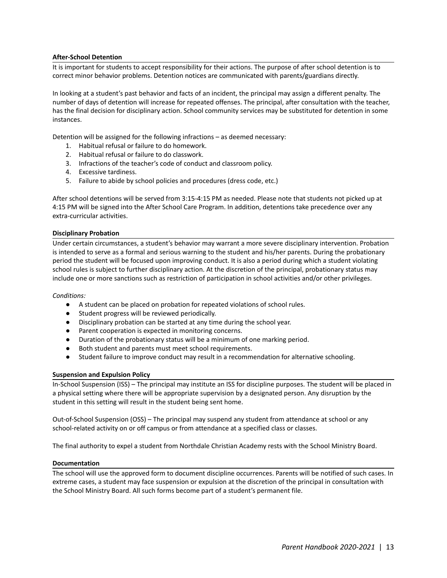#### **After-School Detention**

It is important for students to accept responsibility for their actions. The purpose of after school detention is to correct minor behavior problems. Detention notices are communicated with parents/guardians directly.

In looking at a student's past behavior and facts of an incident, the principal may assign a different penalty. The number of days of detention will increase for repeated offenses. The principal, after consultation with the teacher, has the final decision for disciplinary action. School community services may be substituted for detention in some instances.

Detention will be assigned for the following infractions – as deemed necessary:

- 1. Habitual refusal or failure to do homework.
- 2. Habitual refusal or failure to do classwork.
- 3. Infractions of the teacher's code of conduct and classroom policy.
- 4. Excessive tardiness.
- 5. Failure to abide by school policies and procedures (dress code, etc.)

After school detentions will be served from 3:15-4:15 PM as needed. Please note that students not picked up at 4:15 PM will be signed into the After School Care Program. In addition, detentions take precedence over any extra-curricular activities.

#### **Disciplinary Probation**

Under certain circumstances, a student's behavior may warrant a more severe disciplinary intervention. Probation is intended to serve as a formal and serious warning to the student and his/her parents. During the probationary period the student will be focused upon improving conduct. It is also a period during which a student violating school rules is subject to further disciplinary action. At the discretion of the principal, probationary status may include one or more sanctions such as restriction of participation in school activities and/or other privileges.

#### *Conditions:*

- A student can be placed on probation for repeated violations of school rules.
- Student progress will be reviewed periodically.
- Disciplinary probation can be started at any time during the school year.
- Parent cooperation is expected in monitoring concerns.
- Duration of the probationary status will be a minimum of one marking period.
- Both student and parents must meet school requirements.
- Student failure to improve conduct may result in a recommendation for alternative schooling.

#### **Suspension and Expulsion Policy**

In-School Suspension (ISS) – The principal may institute an ISS for discipline purposes. The student will be placed in a physical setting where there will be appropriate supervision by a designated person. Any disruption by the student in this setting will result in the student being sent home.

Out-of-School Suspension (OSS) – The principal may suspend any student from attendance at school or any school-related activity on or off campus or from attendance at a specified class or classes.

The final authority to expel a student from Northdale Christian Academy rests with the School Ministry Board.

#### **Documentation**

The school will use the approved form to document discipline occurrences. Parents will be notified of such cases. In extreme cases, a student may face suspension or expulsion at the discretion of the principal in consultation with the School Ministry Board. All such forms become part of a student's permanent file.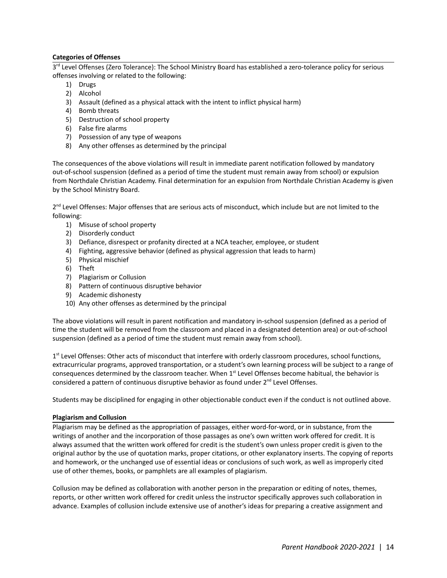#### **Categories of Offenses**

3<sup>rd</sup> Level Offenses (Zero Tolerance): The School Ministry Board has established a zero-tolerance policy for serious offenses involving or related to the following:

- 1) Drugs
- 2) Alcohol
- 3) Assault (defined as a physical attack with the intent to inflict physical harm)
- 4) Bomb threats
- 5) Destruction of school property
- 6) False fire alarms
- 7) Possession of any type of weapons
- 8) Any other offenses as determined by the principal

The consequences of the above violations will result in immediate parent notification followed by mandatory out-of-school suspension (defined as a period of time the student must remain away from school) or expulsion from Northdale Christian Academy. Final determination for an expulsion from Northdale Christian Academy is given by the School Ministry Board.

2<sup>nd</sup> Level Offenses: Major offenses that are serious acts of misconduct, which include but are not limited to the following:

- 1) Misuse of school property
- 2) Disorderly conduct
- 3) Defiance, disrespect or profanity directed at a NCA teacher, employee, or student
- 4) Fighting, aggressive behavior (defined as physical aggression that leads to harm)
- 5) Physical mischief
- 6) Theft
- 7) Plagiarism or Collusion
- 8) Pattern of continuous disruptive behavior
- 9) Academic dishonesty
- 10) Any other offenses as determined by the principal

The above violations will result in parent notification and mandatory in-school suspension (defined as a period of time the student will be removed from the classroom and placed in a designated detention area) or out-of-school suspension (defined as a period of time the student must remain away from school).

1<sup>st</sup> Level Offenses: Other acts of misconduct that interfere with orderly classroom procedures, school functions, extracurricular programs, approved transportation, or a student's own learning process will be subject to a range of consequences determined by the classroom teacher. When  $1<sup>st</sup>$  Level Offenses become habitual, the behavior is considered a pattern of continuous disruptive behavior as found under  $2^{nd}$  Level Offenses.

Students may be disciplined for engaging in other objectionable conduct even if the conduct is not outlined above.

#### **Plagiarism and Collusion**

Plagiarism may be defined as the appropriation of passages, either word-for-word, or in substance, from the writings of another and the incorporation of those passages as one's own written work offered for credit. It is always assumed that the written work offered for credit is the student's own unless proper credit is given to the original author by the use of quotation marks, proper citations, or other explanatory inserts. The copying of reports and homework, or the unchanged use of essential ideas or conclusions of such work, as well as improperly cited use of other themes, books, or pamphlets are all examples of plagiarism.

Collusion may be defined as collaboration with another person in the preparation or editing of notes, themes, reports, or other written work offered for credit unless the instructor specifically approves such collaboration in advance. Examples of collusion include extensive use of another's ideas for preparing a creative assignment and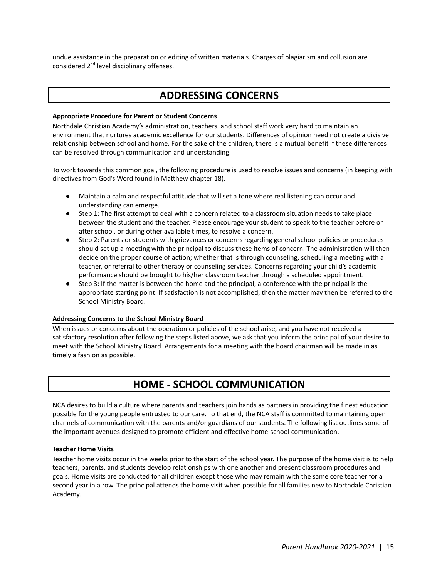undue assistance in the preparation or editing of written materials. Charges of plagiarism and collusion are considered 2<sup>nd</sup> level disciplinary offenses.

### **ADDRESSING CONCERNS**

#### **Appropriate Procedure for Parent or Student Concerns**

Northdale Christian Academy's administration, teachers, and school staff work very hard to maintain an environment that nurtures academic excellence for our students. Differences of opinion need not create a divisive relationship between school and home. For the sake of the children, there is a mutual benefit if these differences can be resolved through communication and understanding.

To work towards this common goal, the following procedure is used to resolve issues and concerns (in keeping with directives from God's Word found in Matthew chapter 18).

- Maintain a calm and respectful attitude that will set a tone where real listening can occur and understanding can emerge.
- Step 1: The first attempt to deal with a concern related to a classroom situation needs to take place between the student and the teacher. Please encourage your student to speak to the teacher before or after school, or during other available times, to resolve a concern.
- Step 2: Parents or students with grievances or concerns regarding general school policies or procedures should set up a meeting with the principal to discuss these items of concern. The administration will then decide on the proper course of action; whether that is through counseling, scheduling a meeting with a teacher, or referral to other therapy or counseling services. Concerns regarding your child's academic performance should be brought to his/her classroom teacher through a scheduled appointment.
- Step 3: If the matter is between the home and the principal, a conference with the principal is the appropriate starting point. If satisfaction is not accomplished, then the matter may then be referred to the School Ministry Board.

#### **Addressing Concerns to the School Ministry Board**

When issues or concerns about the operation or policies of the school arise, and you have not received a satisfactory resolution after following the steps listed above, we ask that you inform the principal of your desire to meet with the School Ministry Board. Arrangements for a meeting with the board chairman will be made in as timely a fashion as possible.

### **HOME - SCHOOL COMMUNICATION**

NCA desires to build a culture where parents and teachers join hands as partners in providing the finest education possible for the young people entrusted to our care. To that end, the NCA staff is committed to maintaining open channels of communication with the parents and/or guardians of our students. The following list outlines some of the important avenues designed to promote efficient and effective home-school communication.

#### **Teacher Home Visits**

Teacher home visits occur in the weeks prior to the start of the school year. The purpose of the home visit is to help teachers, parents, and students develop relationships with one another and present classroom procedures and goals. Home visits are conducted for all children except those who may remain with the same core teacher for a second year in a row. The principal attends the home visit when possible for all families new to Northdale Christian Academy.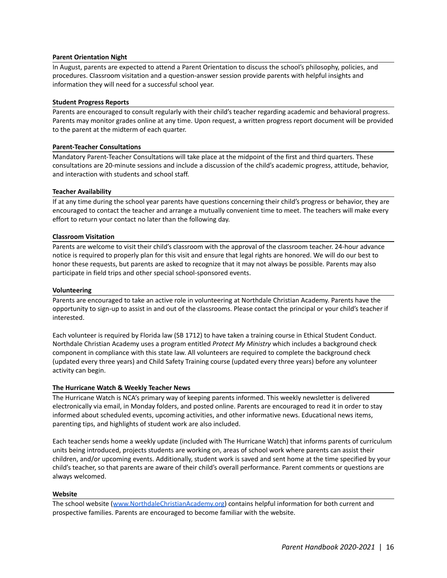#### **Parent Orientation Night**

In August, parents are expected to attend a Parent Orientation to discuss the school's philosophy, policies, and procedures. Classroom visitation and a question-answer session provide parents with helpful insights and information they will need for a successful school year.

#### **Student Progress Reports**

Parents are encouraged to consult regularly with their child's teacher regarding academic and behavioral progress. Parents may monitor grades online at any time. Upon request, a written progress report document will be provided to the parent at the midterm of each quarter.

#### **Parent-Teacher Consultations**

Mandatory Parent-Teacher Consultations will take place at the midpoint of the first and third quarters. These consultations are 20-minute sessions and include a discussion of the child's academic progress, attitude, behavior, and interaction with students and school staff.

#### **Teacher Availability**

If at any time during the school year parents have questions concerning their child's progress or behavior, they are encouraged to contact the teacher and arrange a mutually convenient time to meet. The teachers will make every effort to return your contact no later than the following day.

#### **Classroom Visitation**

Parents are welcome to visit their child's classroom with the approval of the classroom teacher. 24-hour advance notice is required to properly plan for this visit and ensure that legal rights are honored. We will do our best to honor these requests, but parents are asked to recognize that it may not always be possible. Parents may also participate in field trips and other special school-sponsored events.

#### **Volunteering**

Parents are encouraged to take an active role in volunteering at Northdale Christian Academy. Parents have the opportunity to sign-up to assist in and out of the classrooms. Please contact the principal or your child's teacher if interested.

Each volunteer is required by Florida law (SB 1712) to have taken a training course in Ethical Student Conduct. Northdale Christian Academy uses a program entitled *Protect My Ministry* which includes a background check component in compliance with this state law. All volunteers are required to complete the background check (updated every three years) and Child Safety Training course (updated every three years) before any volunteer activity can begin.

#### **The Hurricane Watch & Weekly Teacher News**

The Hurricane Watch is NCA's primary way of keeping parents informed. This weekly newsletter is delivered electronically via email, in Monday folders, and posted online. Parents are encouraged to read it in order to stay informed about scheduled events, upcoming activities, and other informative news. Educational news items, parenting tips, and highlights of student work are also included.

Each teacher sends home a weekly update (included with The Hurricane Watch) that informs parents of curriculum units being introduced, projects students are working on, areas of school work where parents can assist their children, and/or upcoming events. Additionally, student work is saved and sent home at the time specified by your child's teacher, so that parents are aware of their child's overall performance. Parent comments or questions are always welcomed.

#### **Website**

The school website ([www.NorthdaleChristianAcademy.org\)](http://www.northdalechristianacademy.org) contains helpful information for both current and prospective families. Parents are encouraged to become familiar with the website.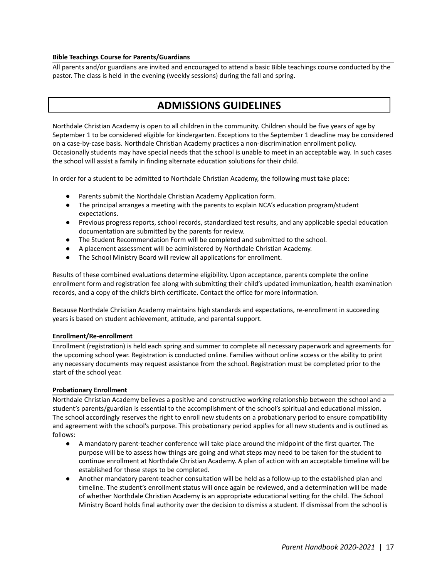#### **Bible Teachings Course for Parents/Guardians**

All parents and/or guardians are invited and encouraged to attend a basic Bible teachings course conducted by the pastor. The class is held in the evening (weekly sessions) during the fall and spring.

### **ADMISSIONS GUIDELINES**

Northdale Christian Academy is open to all children in the community. Children should be five years of age by September 1 to be considered eligible for kindergarten. Exceptions to the September 1 deadline may be considered on a case-by-case basis. Northdale Christian Academy practices a non-discrimination enrollment policy. Occasionally students may have special needs that the school is unable to meet in an acceptable way. In such cases the school will assist a family in finding alternate education solutions for their child.

In order for a student to be admitted to Northdale Christian Academy, the following must take place:

- Parents submit the Northdale Christian Academy Application form.
- The principal arranges a meeting with the parents to explain NCA's education program/student expectations.
- Previous progress reports, school records, standardized test results, and any applicable special education documentation are submitted by the parents for review.
- The Student Recommendation Form will be completed and submitted to the school.
- A placement assessment will be administered by Northdale Christian Academy.
- The School Ministry Board will review all applications for enrollment.

Results of these combined evaluations determine eligibility. Upon acceptance, parents complete the online enrollment form and registration fee along with submitting their child's updated immunization, health examination records, and a copy of the child's birth certificate. Contact the office for more information.

Because Northdale Christian Academy maintains high standards and expectations, re-enrollment in succeeding years is based on student achievement, attitude, and parental support.

#### **Enrollment/Re-enrollment**

Enrollment (registration) is held each spring and summer to complete all necessary paperwork and agreements for the upcoming school year. Registration is conducted online. Families without online access or the ability to print any necessary documents may request assistance from the school. Registration must be completed prior to the start of the school year.

#### **Probationary Enrollment**

Northdale Christian Academy believes a positive and constructive working relationship between the school and a student's parents/guardian is essential to the accomplishment of the school's spiritual and educational mission. The school accordingly reserves the right to enroll new students on a probationary period to ensure compatibility and agreement with the school's purpose. This probationary period applies for all new students and is outlined as follows:

- A mandatory parent-teacher conference will take place around the midpoint of the first quarter. The purpose will be to assess how things are going and what steps may need to be taken for the student to continue enrollment at Northdale Christian Academy. A plan of action with an acceptable timeline will be established for these steps to be completed.
- Another mandatory parent-teacher consultation will be held as a follow-up to the established plan and timeline. The student's enrollment status will once again be reviewed, and a determination will be made of whether Northdale Christian Academy is an appropriate educational setting for the child. The School Ministry Board holds final authority over the decision to dismiss a student. If dismissal from the school is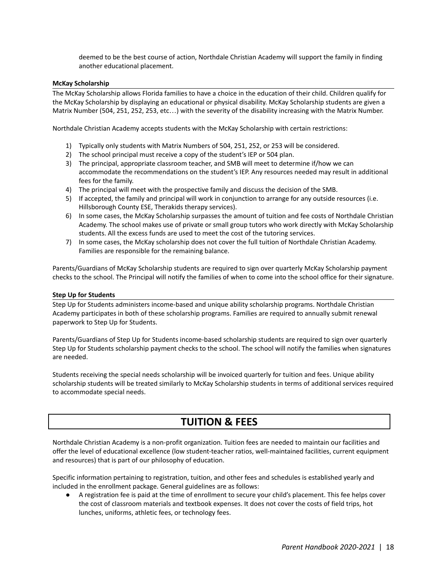deemed to be the best course of action, Northdale Christian Academy will support the family in finding another educational placement.

#### **McKay Scholarship**

The McKay Scholarship allows Florida families to have a choice in the education of their child. Children qualify for the McKay Scholarship by displaying an educational or physical disability. McKay Scholarship students are given a Matrix Number (504, 251, 252, 253, etc…) with the severity of the disability increasing with the Matrix Number.

Northdale Christian Academy accepts students with the McKay Scholarship with certain restrictions:

- 1) Typically only students with Matrix Numbers of 504, 251, 252, or 253 will be considered.
- 2) The school principal must receive a copy of the student's IEP or 504 plan.
- 3) The principal, appropriate classroom teacher, and SMB will meet to determine if/how we can accommodate the recommendations on the student's IEP. Any resources needed may result in additional fees for the family.
- 4) The principal will meet with the prospective family and discuss the decision of the SMB.
- 5) If accepted, the family and principal will work in conjunction to arrange for any outside resources (i.e. Hillsborough County ESE, Therakids therapy services).
- 6) In some cases, the McKay Scholarship surpasses the amount of tuition and fee costs of Northdale Christian Academy. The school makes use of private or small group tutors who work directly with McKay Scholarship students. All the excess funds are used to meet the cost of the tutoring services.
- 7) In some cases, the McKay scholarship does not cover the full tuition of Northdale Christian Academy. Families are responsible for the remaining balance.

Parents/Guardians of McKay Scholarship students are required to sign over quarterly McKay Scholarship payment checks to the school. The Principal will notify the families of when to come into the school office for their signature.

#### **Step Up for Students**

Step Up for Students administers income-based and unique ability scholarship programs. Northdale Christian Academy participates in both of these scholarship programs. Families are required to annually submit renewal paperwork to Step Up for Students.

Parents/Guardians of Step Up for Students income-based scholarship students are required to sign over quarterly Step Up for Students scholarship payment checks to the school. The school will notify the families when signatures are needed.

Students receiving the special needs scholarship will be invoiced quarterly for tuition and fees. Unique ability scholarship students will be treated similarly to McKay Scholarship students in terms of additional services required to accommodate special needs.

### **TUITION & FEES**

Northdale Christian Academy is a non-profit organization. Tuition fees are needed to maintain our facilities and offer the level of educational excellence (low student-teacher ratios, well-maintained facilities, current equipment and resources) that is part of our philosophy of education.

Specific information pertaining to registration, tuition, and other fees and schedules is established yearly and included in the enrollment package. General guidelines are as follows:

● A registration fee is paid at the time of enrollment to secure your child's placement. This fee helps cover the cost of classroom materials and textbook expenses. It does not cover the costs of field trips, hot lunches, uniforms, athletic fees, or technology fees.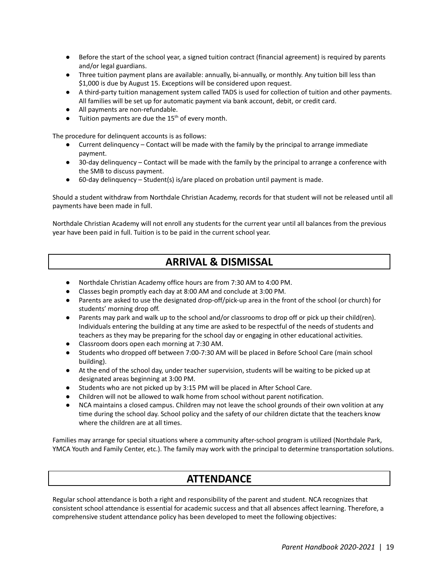- Before the start of the school year, a signed tuition contract (financial agreement) is required by parents and/or legal guardians.
- Three tuition payment plans are available: annually, bi-annually, or monthly. Any tuition bill less than \$1,000 is due by August 15. Exceptions will be considered upon request.
- A third-party tuition management system called TADS is used for collection of tuition and other payments. All families will be set up for automatic payment via bank account, debit, or credit card.
- All payments are non-refundable.
- $\bullet$  Tuition payments are due the 15<sup>th</sup> of every month.

The procedure for delinquent accounts is as follows:

- Current delinquency Contact will be made with the family by the principal to arrange immediate payment.
- 30-day delinquency Contact will be made with the family by the principal to arrange a conference with the SMB to discuss payment.
- 60-day delinquency Student(s) is/are placed on probation until payment is made.

Should a student withdraw from Northdale Christian Academy, records for that student will not be released until all payments have been made in full.

Northdale Christian Academy will not enroll any students for the current year until all balances from the previous year have been paid in full. Tuition is to be paid in the current school year.

### **ARRIVAL & DISMISSAL**

- Northdale Christian Academy office hours are from 7:30 AM to 4:00 PM.
- Classes begin promptly each day at 8:00 AM and conclude at 3:00 PM.
- Parents are asked to use the designated drop-off/pick-up area in the front of the school (or church) for students' morning drop off.
- Parents may park and walk up to the school and/or classrooms to drop off or pick up their child(ren). Individuals entering the building at any time are asked to be respectful of the needs of students and teachers as they may be preparing for the school day or engaging in other educational activities.
- Classroom doors open each morning at 7:30 AM.
- Students who dropped off between 7:00-7:30 AM will be placed in Before School Care (main school building).
- At the end of the school day, under teacher supervision, students will be waiting to be picked up at designated areas beginning at 3:00 PM.
- Students who are not picked up by 3:15 PM will be placed in After School Care.
- Children will not be allowed to walk home from school without parent notification.
- NCA maintains a closed campus. Children may not leave the school grounds of their own volition at any time during the school day. School policy and the safety of our children dictate that the teachers know where the children are at all times.

Families may arrange for special situations where a community after-school program is utilized (Northdale Park, YMCA Youth and Family Center, etc.). The family may work with the principal to determine transportation solutions.

### **ATTENDANCE**

Regular school attendance is both a right and responsibility of the parent and student. NCA recognizes that consistent school attendance is essential for academic success and that all absences affect learning. Therefore, a comprehensive student attendance policy has been developed to meet the following objectives: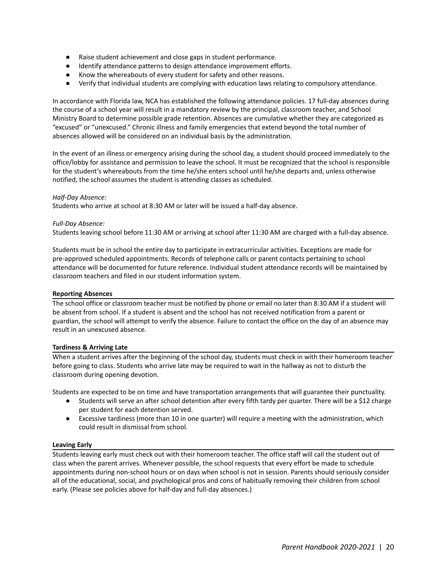- Raise student achievement and close gaps in student performance.
- Identify attendance patterns to design attendance improvement efforts.
- Know the whereabouts of every student for safety and other reasons.
- Verify that individual students are complying with education laws relating to compulsory attendance.

In accordance with Florida law, NCA has established the following attendance policies. 17 full-day absences during the course of a school year will result in a mandatory review by the principal, classroom teacher, and School Ministry Board to determine possible grade retention. Absences are cumulative whether they are categorized as "excused" or "unexcused." Chronic illness and family emergencies that extend beyond the total number of absences allowed will be considered on an individual basis by the administration.

In the event of an illness or emergency arising during the school day, a student should proceed immediately to the office/lobby for assistance and permission to leave the school. It must be recognized that the school is responsible for the student's whereabouts from the time he/she enters school until he/she departs and, unless otherwise notified, the school assumes the student is attending classes as scheduled.

#### *Half-Day Absence:*

Students who arrive at school at 8:30 AM or later will be issued a half-day absence.

#### *Full-Day Absence:*

Students leaving school before 11:30 AM or arriving at school after 11:30 AM are charged with a full-day absence.

Students must be in school the entire day to participate in extracurricular activities. Exceptions are made for pre-approved scheduled appointments. Records of telephone calls or parent contacts pertaining to school attendance will be documented for future reference. Individual student attendance records will be maintained by classroom teachers and filed in our student information system.

#### **Reporting Absences**

The school office or classroom teacher must be notified by phone or email no later than 8:30 AM if a student will be absent from school. If a student is absent and the school has not received notification from a parent or guardian, the school will attempt to verify the absence. Failure to contact the office on the day of an absence may result in an unexcused absence.

#### **Tardiness & Arriving Late**

When a student arrives after the beginning of the school day, students must check in with their homeroom teacher before going to class. Students who arrive late may be required to wait in the hallway as not to disturb the classroom during opening devotion.

Students are expected to be on time and have transportation arrangements that will guarantee their punctuality.

- Students will serve an after school detention after every fifth tardy per quarter. There will be a \$12 charge per student for each detention served.
- Excessive tardiness (more than 10 in one quarter) will require a meeting with the administration, which could result in dismissal from school.

#### **Leaving Early**

Students leaving early must check out with their homeroom teacher. The office staff will call the student out of class when the parent arrives. Whenever possible, the school requests that every effort be made to schedule appointments during non-school hours or on days when school is not in session. Parents should seriously consider all of the educational, social, and psychological pros and cons of habitually removing their children from school early. (Please see policies above for half-day and full-day absences.)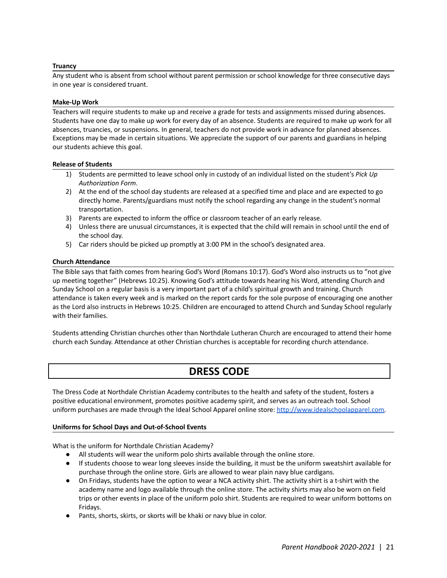#### **Truancy**

Any student who is absent from school without parent permission or school knowledge for three consecutive days in one year is considered truant.

#### **Make-Up Work**

Teachers will require students to make up and receive a grade for tests and assignments missed during absences. Students have one day to make up work for every day of an absence. Students are required to make up work for all absences, truancies, or suspensions. In general, teachers do not provide work in advance for planned absences. Exceptions may be made in certain situations. We appreciate the support of our parents and guardians in helping our students achieve this goal.

#### **Release of Students**

- 1) Students are permitted to leave school only in custody of an individual listed on the student's *Pick Up Authorization Form*.
- 2) At the end of the school day students are released at a specified time and place and are expected to go directly home. Parents/guardians must notify the school regarding any change in the student's normal transportation.
- 3) Parents are expected to inform the office or classroom teacher of an early release.
- 4) Unless there are unusual circumstances, it is expected that the child will remain in school until the end of the school day.
- 5) Car riders should be picked up promptly at 3:00 PM in the school's designated area.

#### **Church Attendance**

The Bible says that faith comes from hearing God's Word (Romans 10:17). God's Word also instructs us to "not give up meeting together" (Hebrews 10:25). Knowing God's attitude towards hearing his Word, attending Church and Sunday School on a regular basis is a very important part of a child's spiritual growth and training. Church attendance is taken every week and is marked on the report cards for the sole purpose of encouraging one another as the Lord also instructs in Hebrews 10:25. Children are encouraged to attend Church and Sunday School regularly with their families.

Students attending Christian churches other than Northdale Lutheran Church are encouraged to attend their home church each Sunday. Attendance at other Christian churches is acceptable for recording church attendance.

### **DRESS CODE**

The Dress Code at Northdale Christian Academy contributes to the health and safety of the student, fosters a positive educational environment, promotes positive academy spirit, and serves as an outreach tool. School uniform purchases are made through the Ideal School Apparel online store: [http://www.idealschoolapparel.com.](http://www.idealschoolapparel.com)

#### **Uniforms for School Days and Out-of-School Events**

What is the uniform for Northdale Christian Academy?

- All students will wear the uniform polo shirts available through the online store.
- If students choose to wear long sleeves inside the building, it must be the uniform sweatshirt available for purchase through the online store. Girls are allowed to wear plain navy blue cardigans.
- On Fridays, students have the option to wear a NCA activity shirt. The activity shirt is a t-shirt with the academy name and logo available through the online store. The activity shirts may also be worn on field trips or other events in place of the uniform polo shirt. Students are required to wear uniform bottoms on Fridays.
- Pants, shorts, skirts, or skorts will be khaki or navy blue in color.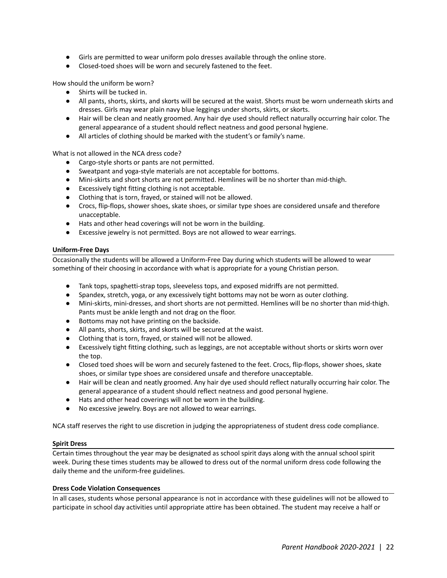- Girls are permitted to wear uniform polo dresses available through the online store.
- Closed-toed shoes will be worn and securely fastened to the feet.

How should the uniform be worn?

- Shirts will be tucked in.
- All pants, shorts, skirts, and skorts will be secured at the waist. Shorts must be worn underneath skirts and dresses. Girls may wear plain navy blue leggings under shorts, skirts, or skorts.
- Hair will be clean and neatly groomed. Any hair dye used should reflect naturally occurring hair color. The general appearance of a student should reflect neatness and good personal hygiene.
- All articles of clothing should be marked with the student's or family's name.

What is not allowed in the NCA dress code?

- Cargo-style shorts or pants are not permitted.
- Sweatpant and yoga-style materials are not acceptable for bottoms.
- Mini-skirts and short shorts are not permitted. Hemlines will be no shorter than mid-thigh.
- Excessively tight fitting clothing is not acceptable.
- Clothing that is torn, frayed, or stained will not be allowed.
- Crocs, flip-flops, shower shoes, skate shoes, or similar type shoes are considered unsafe and therefore unacceptable.
- Hats and other head coverings will not be worn in the building.
- Excessive jewelry is not permitted. Boys are not allowed to wear earrings.

#### **Uniform-Free Days**

Occasionally the students will be allowed a Uniform-Free Day during which students will be allowed to wear something of their choosing in accordance with what is appropriate for a young Christian person.

- Tank tops, spaghetti-strap tops, sleeveless tops, and exposed midriffs are not permitted.
- Spandex, stretch, yoga, or any excessively tight bottoms may not be worn as outer clothing.
- Mini-skirts, mini-dresses, and short shorts are not permitted. Hemlines will be no shorter than mid-thigh. Pants must be ankle length and not drag on the floor.
- Bottoms may not have printing on the backside.
- All pants, shorts, skirts, and skorts will be secured at the waist.
- Clothing that is torn, frayed, or stained will not be allowed.
- Excessively tight fitting clothing, such as leggings, are not acceptable without shorts or skirts worn over the top.
- Closed toed shoes will be worn and securely fastened to the feet. Crocs, flip-flops, shower shoes, skate shoes, or similar type shoes are considered unsafe and therefore unacceptable.
- Hair will be clean and neatly groomed. Any hair dye used should reflect naturally occurring hair color. The general appearance of a student should reflect neatness and good personal hygiene.
- Hats and other head coverings will not be worn in the building.
- No excessive jewelry. Boys are not allowed to wear earrings.

NCA staff reserves the right to use discretion in judging the appropriateness of student dress code compliance.

#### **Spirit Dress**

Certain times throughout the year may be designated as school spirit days along with the annual school spirit week. During these times students may be allowed to dress out of the normal uniform dress code following the daily theme and the uniform-free guidelines.

#### **Dress Code Violation Consequences**

In all cases, students whose personal appearance is not in accordance with these guidelines will not be allowed to participate in school day activities until appropriate attire has been obtained. The student may receive a half or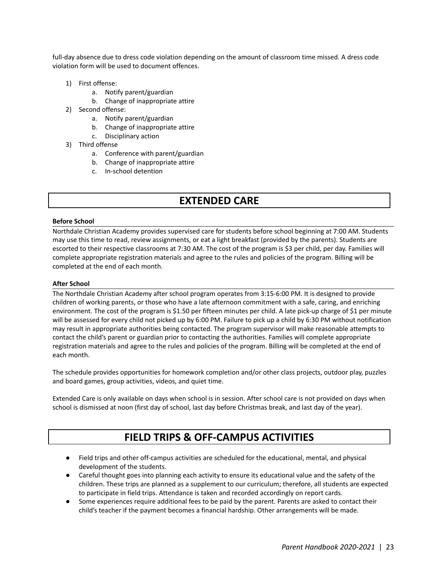full-day absence due to dress code violation depending on the amount of classroom time missed. A dress code violation form will be used to document offences.

- 1) First offense:
	- a. Notify parent/guardian
	- b. Change of inappropriate attire
- 2) Second offense:
	- a. Notify parent/guardian
	- b. Change of inappropriate attire
	- c. Disciplinary action
- 3) Third offense
	- a. Conference with parent/guardian
	- b. Change of inappropriate attire
	- c. In-school detention

### **EXTENDED CARE**

#### **Before School**

Northdale Christian Academy provides supervised care for students before school beginning at 7:00 AM. Students may use this time to read, review assignments, or eat a light breakfast (provided by the parents). Students are escorted to their respective classrooms at 7:30 AM. The cost of the program is \$3 per child, per day. Families will complete appropriate registration materials and agree to the rules and policies of the program. Billing will be completed at the end of each month.

#### **After School**

The Northdale Christian Academy after school program operates from 3:15-6:00 PM. It is designed to provide children of working parents, or those who have a late afternoon commitment with a safe, caring, and enriching environment. The cost of the program is \$1.50 per fifteen minutes per child. A late pick-up charge of \$1 per minute will be assessed for every child not picked up by 6:00 PM. Failure to pick up a child by 6:30 PM without notification may result in appropriate authorities being contacted. The program supervisor will make reasonable attempts to contact the child's parent or guardian prior to contacting the authorities. Families will complete appropriate registration materials and agree to the rules and policies of the program. Billing will be completed at the end of each month.

The schedule provides opportunities for homework completion and/or other class projects, outdoor play, puzzles and board games, group activities, videos, and quiet time.

Extended Care is only available on days when school is in session. After school care is not provided on days when school is dismissed at noon (first day of school, last day before Christmas break, and last day of the year).

### **FIELD TRIPS & OFF-CAMPUS ACTIVITIES**

- Field trips and other off-campus activities are scheduled for the educational, mental, and physical development of the students.
- Careful thought goes into planning each activity to ensure its educational value and the safety of the children. These trips are planned as a supplement to our curriculum; therefore, all students are expected to participate in field trips. Attendance is taken and recorded accordingly on report cards.
- Some experiences require additional fees to be paid by the parent. Parents are asked to contact their child's teacher if the payment becomes a financial hardship. Other arrangements will be made.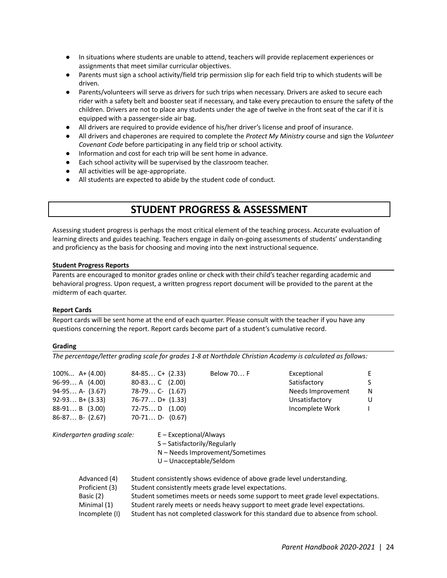- In situations where students are unable to attend, teachers will provide replacement experiences or assignments that meet similar curricular objectives.
- Parents must sign a school activity/field trip permission slip for each field trip to which students will be driven.
- Parents/volunteers will serve as drivers for such trips when necessary. Drivers are asked to secure each rider with a safety belt and booster seat if necessary, and take every precaution to ensure the safety of the children. Drivers are not to place any students under the age of twelve in the front seat of the car if it is equipped with a passenger-side air bag.
- All drivers are required to provide evidence of his/her driver's license and proof of insurance.
- All drivers and chaperones are required to complete the *Protect My Ministry* course and sign the *Volunteer Covenant Code* before participating in any field trip or school activity.
- Information and cost for each trip will be sent home in advance.
- Each school activity will be supervised by the classroom teacher.
- All activities will be age-appropriate.
- All students are expected to abide by the student code of conduct.

### **STUDENT PROGRESS & ASSESSMENT**

Assessing student progress is perhaps the most critical element of the teaching process. Accurate evaluation of learning directs and guides teaching. Teachers engage in daily on-going assessments of students' understanding and proficiency as the basis for choosing and moving into the next instructional sequence.

#### **Student Progress Reports**

Parents are encouraged to monitor grades online or check with their child's teacher regarding academic and behavioral progress. Upon request, a written progress report document will be provided to the parent at the midterm of each quarter.

#### **Report Cards**

Report cards will be sent home at the end of each quarter. Please consult with the teacher if you have any questions concerning the report. Report cards become part of a student's cumulative record.

#### **Grading**

*The percentage/letter grading scale for grades 1-8 at Northdale Christian Academy is calculated as follows:*

| $100\% A+(4.00)$<br>$96-99 A(4.00)$<br>$94-95$ A- $(3.67)$<br>$92-93 B+(3.33)$<br>$88-91 B$ (3.00)<br>$86-87 B- (2.67)$ | $84-85$ C+ $(2.33)$<br>$80-83$ C $(2.00)$<br>$78-79$ C- $(1.67)$<br>$76-77$ D+ $(1.33)$<br>$72-75$ D $(1.00)$<br>$70-71$ D- $(0.67)$ | Below 70 F                                           | Exceptional<br>Satisfactory<br>Needs Improvement<br>Unsatisfactory<br>Incomplete Work                                                                                                                                                                                                                                            | E<br>S<br>N<br>U |
|-------------------------------------------------------------------------------------------------------------------------|--------------------------------------------------------------------------------------------------------------------------------------|------------------------------------------------------|----------------------------------------------------------------------------------------------------------------------------------------------------------------------------------------------------------------------------------------------------------------------------------------------------------------------------------|------------------|
| Kindergarten grading scale:                                                                                             | $E - Exceptional/Always$<br>S – Satisfactorily/Regularly<br>$U$ – Unacceptable/Seldom                                                | N - Needs Improvement/Sometimes                      |                                                                                                                                                                                                                                                                                                                                  |                  |
| Advanced (4)<br>Proficient (3)<br>Basic (2)<br>Minimal (1)<br>Incomplete (I)                                            |                                                                                                                                      | Student consistently meets grade level expectations. | Student consistently shows evidence of above grade level understanding.<br>Student sometimes meets or needs some support to meet grade level expectations.<br>Student rarely meets or needs heavy support to meet grade level expectations.<br>Student has not completed classwork for this standard due to absence from school. |                  |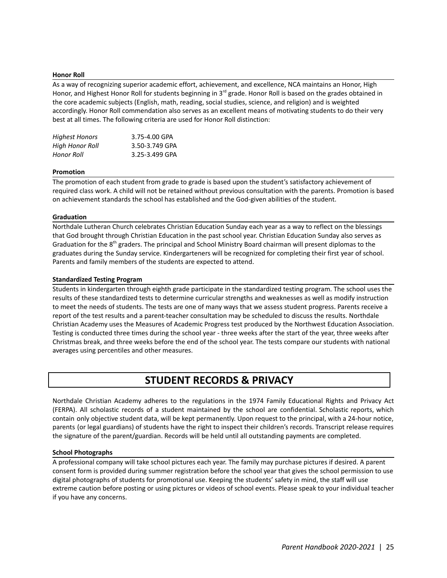#### **Honor Roll**

As a way of recognizing superior academic effort, achievement, and excellence, NCA maintains an Honor, High Honor, and Highest Honor Roll for students beginning in 3<sup>rd</sup> grade. Honor Roll is based on the grades obtained in the core academic subjects (English, math, reading, social studies, science, and religion) and is weighted accordingly. Honor Roll commendation also serves as an excellent means of motivating students to do their very best at all times. The following criteria are used for Honor Roll distinction:

| <b>Highest Honors</b>  | 3.75-4.00 GPA  |
|------------------------|----------------|
| <b>High Honor Roll</b> | 3.50-3.749 GPA |
| Honor Roll             | 3.25-3.499 GPA |

#### **Promotion**

The promotion of each student from grade to grade is based upon the student's satisfactory achievement of required class work. A child will not be retained without previous consultation with the parents. Promotion is based on achievement standards the school has established and the God-given abilities of the student.

#### **Graduation**

Northdale Lutheran Church celebrates Christian Education Sunday each year as a way to reflect on the blessings that God brought through Christian Education in the past school year. Christian Education Sunday also serves as Graduation for the 8<sup>th</sup> graders. The principal and School Ministry Board chairman will present diplomas to the graduates during the Sunday service. Kindergarteners will be recognized for completing their first year of school. Parents and family members of the students are expected to attend.

#### **Standardized Testing Program**

Students in kindergarten through eighth grade participate in the standardized testing program. The school uses the results of these standardized tests to determine curricular strengths and weaknesses as well as modify instruction to meet the needs of students. The tests are one of many ways that we assess student progress. Parents receive a report of the test results and a parent-teacher consultation may be scheduled to discuss the results. Northdale Christian Academy uses the Measures of Academic Progress test produced by the Northwest Education Association. Testing is conducted three times during the school year - three weeks after the start of the year, three weeks after Christmas break, and three weeks before the end of the school year. The tests compare our students with national averages using percentiles and other measures.

### **STUDENT RECORDS & PRIVACY**

Northdale Christian Academy adheres to the regulations in the 1974 Family Educational Rights and Privacy Act (FERPA). All scholastic records of a student maintained by the school are confidential. Scholastic reports, which contain only objective student data, will be kept permanently. Upon request to the principal, with a 24-hour notice, parents (or legal guardians) of students have the right to inspect their children's records. Transcript release requires the signature of the parent/guardian. Records will be held until all outstanding payments are completed.

#### **School Photographs**

A professional company will take school pictures each year. The family may purchase pictures if desired. A parent consent form is provided during summer registration before the school year that gives the school permission to use digital photographs of students for promotional use. Keeping the students' safety in mind, the staff will use extreme caution before posting or using pictures or videos of school events. Please speak to your individual teacher if you have any concerns.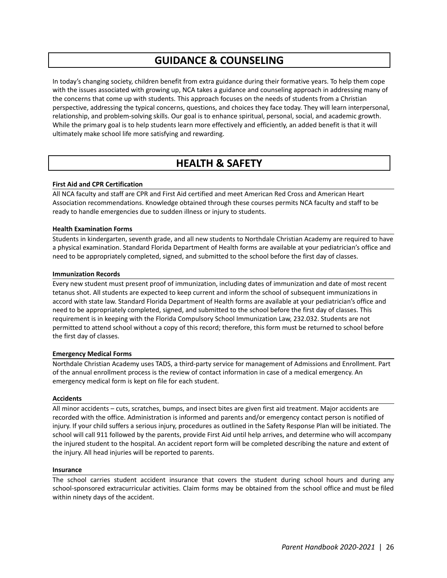### **GUIDANCE & COUNSELING**

In today's changing society, children benefit from extra guidance during their formative years. To help them cope with the issues associated with growing up, NCA takes a guidance and counseling approach in addressing many of the concerns that come up with students. This approach focuses on the needs of students from a Christian perspective, addressing the typical concerns, questions, and choices they face today. They will learn interpersonal, relationship, and problem-solving skills. Our goal is to enhance spiritual, personal, social, and academic growth. While the primary goal is to help students learn more effectively and efficiently, an added benefit is that it will ultimately make school life more satisfying and rewarding.

### **HEALTH & SAFETY**

#### **First Aid and CPR Certification**

All NCA faculty and staff are CPR and First Aid certified and meet American Red Cross and American Heart Association recommendations. Knowledge obtained through these courses permits NCA faculty and staff to be ready to handle emergencies due to sudden illness or injury to students.

#### **Health Examination Forms**

Students in kindergarten, seventh grade, and all new students to Northdale Christian Academy are required to have a physical examination. Standard Florida Department of Health forms are available at your pediatrician's office and need to be appropriately completed, signed, and submitted to the school before the first day of classes.

#### **Immunization Records**

Every new student must present proof of immunization, including dates of immunization and date of most recent tetanus shot. All students are expected to keep current and inform the school of subsequent immunizations in accord with state law. Standard Florida Department of Health forms are available at your pediatrician's office and need to be appropriately completed, signed, and submitted to the school before the first day of classes. This requirement is in keeping with the Florida Compulsory School Immunization Law, 232.032. Students are not permitted to attend school without a copy of this record; therefore, this form must be returned to school before the first day of classes.

#### **Emergency Medical Forms**

Northdale Christian Academy uses TADS, a third-party service for management of Admissions and Enrollment. Part of the annual enrollment process is the review of contact information in case of a medical emergency. An emergency medical form is kept on file for each student.

#### **Accidents**

All minor accidents – cuts, scratches, bumps, and insect bites are given first aid treatment. Major accidents are recorded with the office. Administration is informed and parents and/or emergency contact person is notified of injury. If your child suffers a serious injury, procedures as outlined in the Safety Response Plan will be initiated. The school will call 911 followed by the parents, provide First Aid until help arrives, and determine who will accompany the injured student to the hospital. An accident report form will be completed describing the nature and extent of the injury. All head injuries will be reported to parents.

#### **Insurance**

The school carries student accident insurance that covers the student during school hours and during any school-sponsored extracurricular activities. Claim forms may be obtained from the school office and must be filed within ninety days of the accident.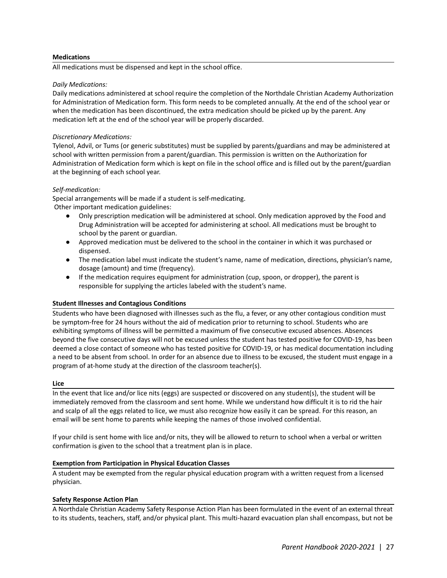#### **Medications**

All medications must be dispensed and kept in the school office.

#### *Daily Medications:*

Daily medications administered at school require the completion of the Northdale Christian Academy Authorization for Administration of Medication form. This form needs to be completed annually. At the end of the school year or when the medication has been discontinued, the extra medication should be picked up by the parent. Any medication left at the end of the school year will be properly discarded.

#### *Discretionary Medications:*

Tylenol, Advil, or Tums (or generic substitutes) must be supplied by parents/guardians and may be administered at school with written permission from a parent/guardian. This permission is written on the Authorization for Administration of Medication form which is kept on file in the school office and is filled out by the parent/guardian at the beginning of each school year.

#### *Self-medication:*

Special arrangements will be made if a student is self-medicating. Other important medication guidelines:

- Only prescription medication will be administered at school. Only medication approved by the Food and Drug Administration will be accepted for administering at school. All medications must be brought to school by the parent or guardian.
- Approved medication must be delivered to the school in the container in which it was purchased or dispensed.
- The medication label must indicate the student's name, name of medication, directions, physician's name, dosage (amount) and time (frequency).
- If the medication requires equipment for administration (cup, spoon, or dropper), the parent is responsible for supplying the articles labeled with the student's name.

#### **Student Illnesses and Contagious Conditions**

Students who have been diagnosed with illnesses such as the flu, a fever, or any other contagious condition must be symptom-free for 24 hours without the aid of medication prior to returning to school. Students who are exhibiting symptoms of illness will be permitted a maximum of five consecutive excused absences. Absences beyond the five consecutive days will not be excused unless the student has tested positive for COVID-19, has been deemed a close contact of someone who has tested positive for COVID-19, or has medical documentation including a need to be absent from school. In order for an absence due to illness to be excused, the student must engage in a program of at-home study at the direction of the classroom teacher(s).

#### **Lice**

In the event that lice and/or lice nits (eggs) are suspected or discovered on any student(s), the student will be immediately removed from the classroom and sent home. While we understand how difficult it is to rid the hair and scalp of all the eggs related to lice, we must also recognize how easily it can be spread. For this reason, an email will be sent home to parents while keeping the names of those involved confidential.

If your child is sent home with lice and/or nits, they will be allowed to return to school when a verbal or written confirmation is given to the school that a treatment plan is in place.

#### **Exemption from Participation in Physical Education Classes**

A student may be exempted from the regular physical education program with a written request from a licensed physician.

#### **Safety Response Action Plan**

A Northdale Christian Academy Safety Response Action Plan has been formulated in the event of an external threat to its students, teachers, staff, and/or physical plant. This multi-hazard evacuation plan shall encompass, but not be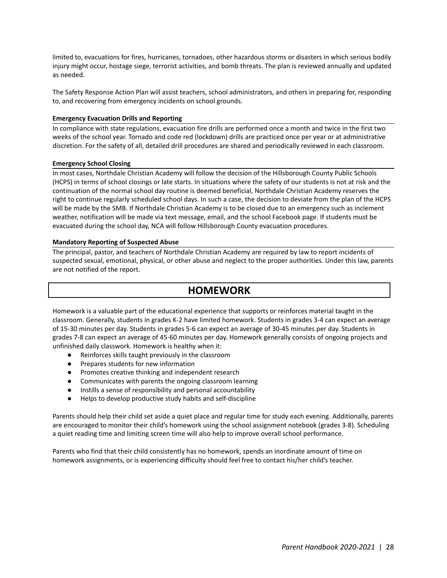limited to, evacuations for fires, hurricanes, tornadoes, other hazardous storms or disasters in which serious bodily injury might occur, hostage siege, terrorist activities, and bomb threats. The plan is reviewed annually and updated as needed.

The Safety Response Action Plan will assist teachers, school administrators, and others in preparing for, responding to, and recovering from emergency incidents on school grounds.

#### **Emergency Evacuation Drills and Reporting**

In compliance with state regulations, evacuation fire drills are performed once a month and twice in the first two weeks of the school year. Tornado and code red (lockdown) drills are practiced once per year or at administrative discretion. For the safety of all, detailed drill procedures are shared and periodically reviewed in each classroom.

#### **Emergency School Closing**

In most cases, Northdale Christian Academy will follow the decision of the Hillsborough County Public Schools (HCPS) in terms of school closings or late starts. In situations where the safety of our students is not at risk and the continuation of the normal school day routine is deemed beneficial, Northdale Christian Academy reserves the right to continue regularly scheduled school days. In such a case, the decision to deviate from the plan of the HCPS will be made by the SMB. If Northdale Christian Academy is to be closed due to an emergency such as inclement weather, notification will be made via text message, email, and the school Facebook page. If students must be evacuated during the school day, NCA will follow Hillsborough County evacuation procedures.

#### **Mandatory Reporting of Suspected Abuse**

The principal, pastor, and teachers of Northdale Christian Academy are required by law to report incidents of suspected sexual, emotional, physical, or other abuse and neglect to the proper authorities. Under this law, parents are not notified of the report.

### **HOMEWORK**

Homework is a valuable part of the educational experience that supports or reinforces material taught in the classroom. Generally, students in grades K-2 have limited homework. Students in grades 3-4 can expect an average of 15-30 minutes per day. Students in grades 5-6 can expect an average of 30-45 minutes per day. Students in grades 7-8 can expect an average of 45-60 minutes per day. Homework generally consists of ongoing projects and unfinished daily classwork. Homework is healthy when it:

- Reinforces skills taught previously in the classroom
- Prepares students for new information
- Promotes creative thinking and independent research
- Communicates with parents the ongoing classroom learning
- Instills a sense of responsibility and personal accountability
- Helps to develop productive study habits and self-discipline

Parents should help their child set aside a quiet place and regular time for study each evening. Additionally, parents are encouraged to monitor their child's homework using the school assignment notebook (grades 3-8). Scheduling a quiet reading time and limiting screen time will also help to improve overall school performance.

Parents who find that their child consistently has no homework, spends an inordinate amount of time on homework assignments, or is experiencing difficulty should feel free to contact his/her child's teacher.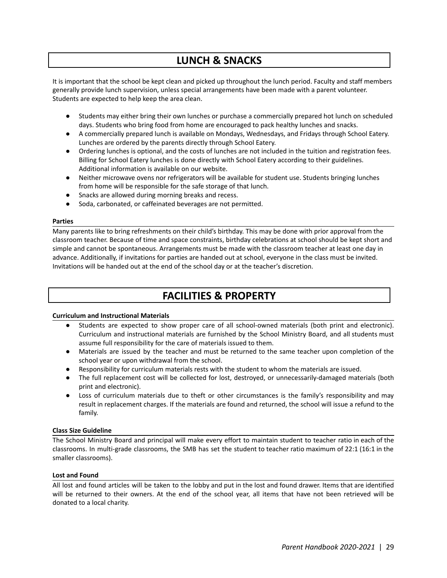### **LUNCH & SNACKS**

It is important that the school be kept clean and picked up throughout the lunch period. Faculty and staff members generally provide lunch supervision, unless special arrangements have been made with a parent volunteer. Students are expected to help keep the area clean.

- Students may either bring their own lunches or purchase a commercially prepared hot lunch on scheduled days. Students who bring food from home are encouraged to pack healthy lunches and snacks.
- A commercially prepared lunch is available on Mondays, Wednesdays, and Fridays through School Eatery. Lunches are ordered by the parents directly through School Eatery.
- Ordering lunches is optional, and the costs of lunches are not included in the tuition and registration fees. Billing for School Eatery lunches is done directly with School Eatery according to their guidelines. Additional information is available on our website.
- Neither microwave ovens nor refrigerators will be available for student use. Students bringing lunches from home will be responsible for the safe storage of that lunch.
- Snacks are allowed during morning breaks and recess.
- Soda, carbonated, or caffeinated beverages are not permitted.

#### **Parties**

Many parents like to bring refreshments on their child's birthday. This may be done with prior approval from the classroom teacher. Because of time and space constraints, birthday celebrations at school should be kept short and simple and cannot be spontaneous. Arrangements must be made with the classroom teacher at least one day in advance. Additionally, if invitations for parties are handed out at school, everyone in the class must be invited. Invitations will be handed out at the end of the school day or at the teacher's discretion.

### **FACILITIES & PROPERTY**

#### **Curriculum and Instructional Materials**

- Students are expected to show proper care of all school-owned materials (both print and electronic). Curriculum and instructional materials are furnished by the School Ministry Board, and all students must assume full responsibility for the care of materials issued to them.
- Materials are issued by the teacher and must be returned to the same teacher upon completion of the school year or upon withdrawal from the school.
- Responsibility for curriculum materials rests with the student to whom the materials are issued.
- The full replacement cost will be collected for lost, destroyed, or unnecessarily-damaged materials (both print and electronic).
- Loss of curriculum materials due to theft or other circumstances is the family's responsibility and may result in replacement charges. If the materials are found and returned, the school will issue a refund to the family.

#### **Class Size Guideline**

The School Ministry Board and principal will make every effort to maintain student to teacher ratio in each of the classrooms. In multi-grade classrooms, the SMB has set the student to teacher ratio maximum of 22:1 (16:1 in the smaller classrooms).

#### **Lost and Found**

All lost and found articles will be taken to the lobby and put in the lost and found drawer. Items that are identified will be returned to their owners. At the end of the school year, all items that have not been retrieved will be donated to a local charity.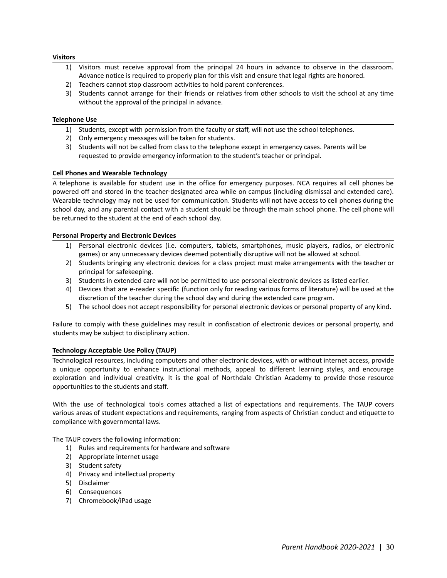#### **Visitors**

- 1) Visitors must receive approval from the principal 24 hours in advance to observe in the classroom. Advance notice is required to properly plan for this visit and ensure that legal rights are honored.
- 2) Teachers cannot stop classroom activities to hold parent conferences.
- 3) Students cannot arrange for their friends or relatives from other schools to visit the school at any time without the approval of the principal in advance.

#### **Telephone Use**

- 1) Students, except with permission from the faculty or staff, will not use the school telephones.
- 2) Only emergency messages will be taken for students.
- 3) Students will not be called from class to the telephone except in emergency cases. Parents will be requested to provide emergency information to the student's teacher or principal.

#### **Cell Phones and Wearable Technology**

A telephone is available for student use in the office for emergency purposes. NCA requires all cell phones be powered off and stored in the teacher-designated area while on campus (including dismissal and extended care). Wearable technology may not be used for communication. Students will not have access to cell phones during the school day, and any parental contact with a student should be through the main school phone. The cell phone will be returned to the student at the end of each school day.

#### **Personal Property and Electronic Devices**

- 1) Personal electronic devices (i.e. computers, tablets, smartphones, music players, radios, or electronic games) or any unnecessary devices deemed potentially disruptive will not be allowed at school.
- 2) Students bringing any electronic devices for a class project must make arrangements with the teacher or principal for safekeeping.
- 3) Students in extended care will not be permitted to use personal electronic devices as listed earlier.
- 4) Devices that are e-reader specific (function only for reading various forms of literature) will be used at the discretion of the teacher during the school day and during the extended care program.
- 5) The school does not accept responsibility for personal electronic devices or personal property of any kind.

Failure to comply with these guidelines may result in confiscation of electronic devices or personal property, and students may be subject to disciplinary action.

#### **Technology Acceptable Use Policy (TAUP)**

Technological resources, including computers and other electronic devices, with or without internet access, provide a unique opportunity to enhance instructional methods, appeal to different learning styles, and encourage exploration and individual creativity. It is the goal of Northdale Christian Academy to provide those resource opportunities to the students and staff.

With the use of technological tools comes attached a list of expectations and requirements. The TAUP covers various areas of student expectations and requirements, ranging from aspects of Christian conduct and etiquette to compliance with governmental laws.

The TAUP covers the following information:

- 1) Rules and requirements for hardware and software
- 2) Appropriate internet usage
- 3) Student safety
- 4) Privacy and intellectual property
- 5) Disclaimer
- 6) Consequences
- 7) Chromebook/iPad usage